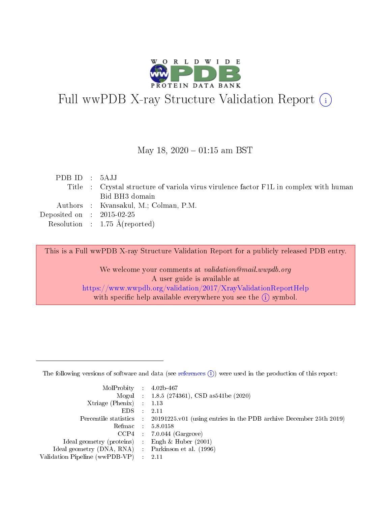

# Full wwPDB X-ray Structure Validation Report (i)

#### May 18,  $2020 - 01:15$  am BST

| PDBID : 5AJJ                |                                                                                       |
|-----------------------------|---------------------------------------------------------------------------------------|
|                             | Title : Crystal structure of variola virus virulence factor F1L in complex with human |
|                             | Bid BH3 domain                                                                        |
|                             | Authors : Kvansakul, M.; Colman, P.M.                                                 |
| Deposited on : $2015-02-25$ |                                                                                       |
|                             | Resolution : $1.75 \text{ Å}$ (reported)                                              |

This is a Full wwPDB X-ray Structure Validation Report for a publicly released PDB entry.

We welcome your comments at validation@mail.wwpdb.org A user guide is available at <https://www.wwpdb.org/validation/2017/XrayValidationReportHelp> with specific help available everywhere you see the  $(i)$  symbol.

The following versions of software and data (see [references](https://www.wwpdb.org/validation/2017/XrayValidationReportHelp#references)  $(1)$ ) were used in the production of this report:

| $MolProbability$ 4.02b-467                          |               |                                                                                            |
|-----------------------------------------------------|---------------|--------------------------------------------------------------------------------------------|
|                                                     |               | Mogul : 1.8.5 (274361), CSD as 541be (2020)                                                |
| Xtriage (Phenix) $: 1.13$                           |               |                                                                                            |
| EDS.                                                | $\mathcal{L}$ | -2.11                                                                                      |
|                                                     |               | Percentile statistics : 20191225.v01 (using entries in the PDB archive December 25th 2019) |
|                                                     |               | Refmac $5.8.0158$                                                                          |
| CCP4                                                |               | $7.0.044$ (Gargrove)                                                                       |
| Ideal geometry (proteins)                           | $\sim$        | Engh $\&$ Huber (2001)                                                                     |
| Ideal geometry (DNA, RNA) : Parkinson et al. (1996) |               |                                                                                            |
| Validation Pipeline (wwPDB-VP) : 2.11               |               |                                                                                            |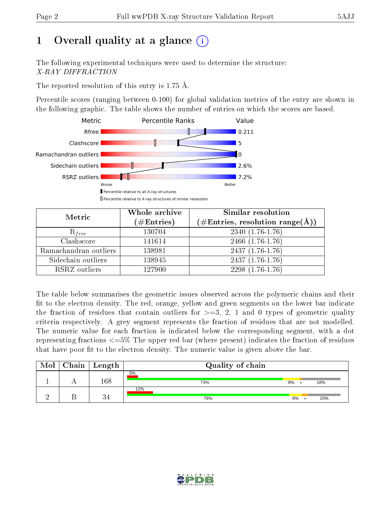# 1 [O](https://www.wwpdb.org/validation/2017/XrayValidationReportHelp#overall_quality)verall quality at a glance  $(i)$

The following experimental techniques were used to determine the structure: X-RAY DIFFRACTION

The reported resolution of this entry is 1.75 Å.

Percentile scores (ranging between 0-100) for global validation metrics of the entry are shown in the following graphic. The table shows the number of entries on which the scores are based.



| Metric                | Whole archive<br>$(\#\text{Entries})$ | Similar resolution<br>$(\#\text{Entries}, \text{resolution range}(\textup{\AA}))$ |
|-----------------------|---------------------------------------|-----------------------------------------------------------------------------------|
| $R_{free}$            | 130704                                | $2340(1.76-1.76)$                                                                 |
| Clashscore            | 141614                                | $2466$ $(1.76-1.76)$                                                              |
| Ramachandran outliers | 138981                                | $2437(1.76-1.76)$                                                                 |
| Sidechain outliers    | 138945                                | $2437(1.76-1.76)$                                                                 |
| RSRZ outliers         | 127900                                | $2298(1.76-1.76)$                                                                 |

The table below summarises the geometric issues observed across the polymeric chains and their fit to the electron density. The red, orange, yellow and green segments on the lower bar indicate the fraction of residues that contain outliers for  $>=3, 2, 1$  and 0 types of geometric quality criteria respectively. A grey segment represents the fraction of residues that are not modelled. The numeric value for each fraction is indicated below the corresponding segment, with a dot representing fractions  $\epsilon=5\%$  The upper red bar (where present) indicates the fraction of residues that have poor fit to the electron density. The numeric value is given above the bar.

| Mol | ${\rm Chain \mid Length}$ | Quality of chain |    |     |
|-----|---------------------------|------------------|----|-----|
|     | 168                       | 5%<br>73%        | 8% | 18% |
|     |                           | 12%<br>76%       | 6% | 15% |

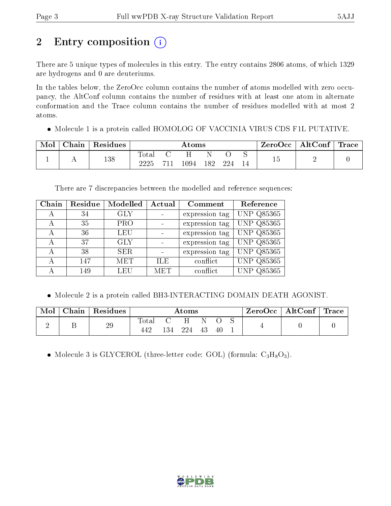# 2 Entry composition (i)

There are 5 unique types of molecules in this entry. The entry contains 2806 atoms, of which 1329 are hydrogens and 0 are deuteriums.

In the tables below, the ZeroOcc column contains the number of atoms modelled with zero occupancy, the AltConf column contains the number of residues with at least one atom in alternate conformation and the Trace column contains the number of residues modelled with at most 2 atoms.

Molecule 1 is a protein called HOMOLOG OF VACCINIA VIRUS CDS F1L PUTATIVE.

| Mol | Chain   Residues |               | Atoms |       |     |  | $\text{ZeroOcc} \mid \text{AltConf} \mid \text{Trace}$ |  |
|-----|------------------|---------------|-------|-------|-----|--|--------------------------------------------------------|--|
|     | 138              | Total<br>วววร | 1094  | - 182 | 224 |  |                                                        |  |

There are 7 discrepancies between the modelled and reference sequences:

| Chain | Residue | Modelled   | Actual     | Comment        | Reference         |
|-------|---------|------------|------------|----------------|-------------------|
| А     | 34      | <b>GLY</b> |            | expression tag | <b>UNP Q85365</b> |
| А     | 35      | <b>PRO</b> |            | expression tag | <b>UNP Q85365</b> |
| А     | 36      | <b>LEU</b> |            | expression tag | UNP Q85365        |
| А     | 37      | <b>GLY</b> |            | expression tag | <b>UNP Q85365</b> |
| А     | 38      | <b>SER</b> |            | expression tag | <b>UNP Q85365</b> |
| А     | 147     | <b>MET</b> | ILE.       | conflict       | <b>UNP Q85365</b> |
|       | 149     | LEU        | <b>MET</b> | conflict       | UNP Q85365        |

Molecule 2 is a protein called BH3-INTERACTING DOMAIN DEATH AGONIST.

| Mol |   | $\mid$ Chain $\mid$ Residues | Atoms |  |         |      | $\rm{ZeroOcc} \mid \rm{AltConf} \mid \rm{Trace}$ |  |  |  |
|-----|---|------------------------------|-------|--|---------|------|--------------------------------------------------|--|--|--|
|     | ∸ | $29\,$                       | Total |  | 134 224 | - 43 | $-40$                                            |  |  |  |

• Molecule 3 is GLYCEROL (three-letter code: GOL) (formula:  $C_3H_8O_3$ ).

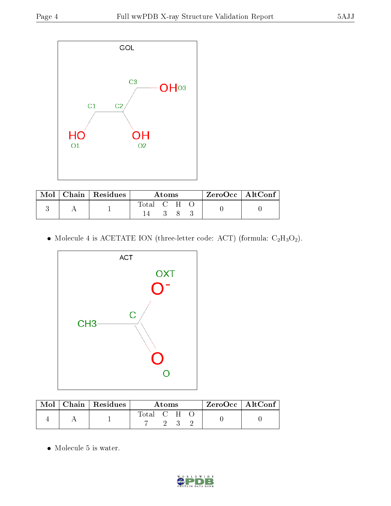

|  | $Mol$   Chain   Residues | Atoms     |  |  |  | ZeroOcc   AltConf |
|--|--------------------------|-----------|--|--|--|-------------------|
|  |                          | Total C H |  |  |  |                   |

 $\bullet$  Molecule 4 is ACETATE ION (three-letter code: ACT) (formula:  $\rm{C_2H_3O_2}).$ 



|  | $\text{Mol}$   Chain   Residues | A toms      |  | $\lq$ ZeroOcc   AltConf $\lq$ |  |  |  |
|--|---------------------------------|-------------|--|-------------------------------|--|--|--|
|  |                                 | Total C H O |  |                               |  |  |  |

• Molecule 5 is water.

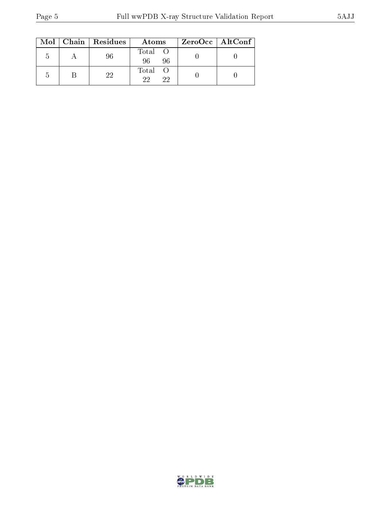|    | $Mol$   Chain   Residues | Atoms               | ZeroOcc   AltConf |
|----|--------------------------|---------------------|-------------------|
| .C | 96                       | Total O<br>96<br>96 |                   |
|    | 22                       | Total O<br>22<br>22 |                   |

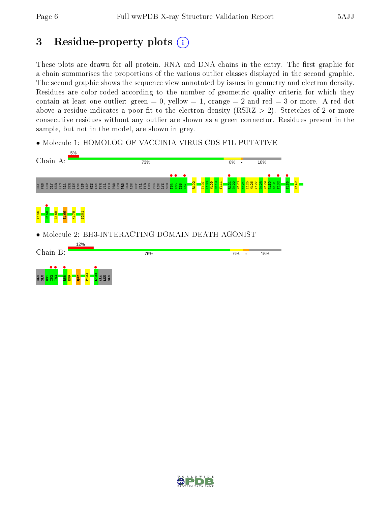## 3 Residue-property plots  $(i)$

These plots are drawn for all protein, RNA and DNA chains in the entry. The first graphic for a chain summarises the proportions of the various outlier classes displayed in the second graphic. The second graphic shows the sequence view annotated by issues in geometry and electron density. Residues are color-coded according to the number of geometric quality criteria for which they contain at least one outlier: green  $= 0$ , yellow  $= 1$ , orange  $= 2$  and red  $= 3$  or more. A red dot above a residue indicates a poor fit to the electron density (RSRZ  $> 2$ ). Stretches of 2 or more consecutive residues without any outlier are shown as a green connector. Residues present in the sample, but not in the model, are shown in grey.

• Molecule 1: HOMOLOG OF VACCINIA VIRUS CDS F1L PUTATIVE



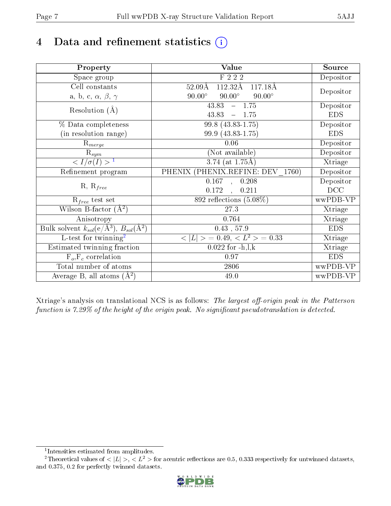# 4 Data and refinement statistics  $(i)$

| Property                                                             | Value                                              | Source     |
|----------------------------------------------------------------------|----------------------------------------------------|------------|
| Space group                                                          | F 2 2 2                                            | Depositor  |
| Cell constants                                                       | $52.09\text{\AA}$<br>$112.32\text{\AA}$<br>117.18Å |            |
| a, b, c, $\alpha$ , $\beta$ , $\gamma$                               | $90.00^\circ$<br>$90.00^\circ$<br>$90.00^\circ$    | Depositor  |
| Resolution $(A)$                                                     | 43.83<br>$-1.75$                                   | Depositor  |
|                                                                      | 43.83<br>1.75<br>$\equiv$                          | <b>EDS</b> |
| % Data completeness                                                  | $99.8(43.83 - 1.75)$                               | Depositor  |
| (in resolution range)                                                | 99.9 (43.83-1.75)                                  | <b>EDS</b> |
| $R_{merge}$                                                          | 0.06                                               | Depositor  |
| $\mathrm{R}_{sym}$                                                   | (Not available)                                    | Depositor  |
| $\langle I/\sigma(I) \rangle^{-1}$                                   | $3.74$ (at 1.75Å)                                  | Xtriage    |
| Refinement program                                                   | PHENIX (PHENIX.REFINE: DEV 1760)                   | Depositor  |
|                                                                      | $\overline{0.167}$ ,<br>0.208                      | Depositor  |
| $R, R_{free}$                                                        | 0.172<br>0.211<br>$\mathbb{R}^2$                   | DCC        |
| $R_{free}$ test set                                                  | 892 reflections $(5.08\%)$                         | wwPDB-VP   |
| Wilson B-factor $(A^2)$                                              | 27.3                                               | Xtriage    |
| Anisotropy                                                           | 0.764                                              | Xtriage    |
| Bulk solvent $k_{sol}(e/\mathring{A}^3)$ , $B_{sol}(\mathring{A}^2)$ | $0.43$ , 57.9                                      | <b>EDS</b> |
| $L$ -test for twinning <sup>2</sup>                                  | $< L >$ = 0.49, $< L2$ = 0.33                      | Xtriage    |
| Estimated twinning fraction                                          | $0.022$ for $-h, l, k$                             | Xtriage    |
| $F_o, F_c$ correlation                                               | 0.97                                               | <b>EDS</b> |
| Total number of atoms                                                | 2806                                               | wwPDB-VP   |
| Average B, all atoms $(A^2)$                                         | 49.0                                               | wwPDB-VP   |

Xtriage's analysis on translational NCS is as follows: The largest off-origin peak in the Patterson function is  $7.29\%$  of the height of the origin peak. No significant pseudotranslation is detected.

<sup>&</sup>lt;sup>2</sup>Theoretical values of  $\langle |L| \rangle$ ,  $\langle L^2 \rangle$  for acentric reflections are 0.5, 0.333 respectively for untwinned datasets, and 0.375, 0.2 for perfectly twinned datasets.



<span id="page-6-1"></span><span id="page-6-0"></span><sup>1</sup> Intensities estimated from amplitudes.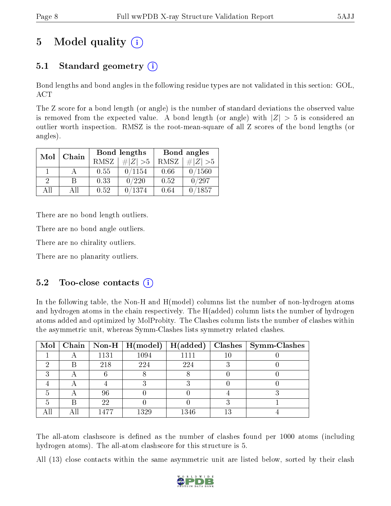# 5 Model quality  $(i)$

## 5.1 Standard geometry (i)

Bond lengths and bond angles in the following residue types are not validated in this section: GOL, ACT

The Z score for a bond length (or angle) is the number of standard deviations the observed value is removed from the expected value. A bond length (or angle) with  $|Z| > 5$  is considered an outlier worth inspection. RMSZ is the root-mean-square of all Z scores of the bond lengths (or angles).

| Mol      | Chain |      | Bond lengths | Bond angles |              |  |
|----------|-------|------|--------------|-------------|--------------|--|
|          | RMSZ  |      | $\# Z  > 5$  | RMSZ        | $\# Z  > 5$  |  |
|          |       | 0.55 | 0/1154       | 0.66        | 0/1560       |  |
| $\Omega$ |       | 0.33 | 0/220        | 0.52        | $^\prime297$ |  |
| ΔH       | A 11  | 0.52 | 0/1374       | 0.64        | /1857        |  |

There are no bond length outliers.

There are no bond angle outliers.

There are no chirality outliers.

There are no planarity outliers.

## $5.2$  Too-close contacts  $(i)$

In the following table, the Non-H and H(model) columns list the number of non-hydrogen atoms and hydrogen atoms in the chain respectively. The H(added) column lists the number of hydrogen atoms added and optimized by MolProbity. The Clashes column lists the number of clashes within the asymmetric unit, whereas Symm-Clashes lists symmetry related clashes.

|   |   |      | Mol   Chain   Non-H   H(model) | $H(\mathrm{added})$ |    | $\text{Classes} \mid \text{Symm-Class}$ |
|---|---|------|--------------------------------|---------------------|----|-----------------------------------------|
|   |   | 1131 | 1094                           | 1111                | 10 |                                         |
|   | B | 218  | 224                            | 224                 |    |                                         |
| ົ |   |      |                                |                     |    |                                         |
|   |   |      |                                |                     |    |                                         |
|   |   | 96   |                                |                     |    |                                         |
|   | B | 22   |                                |                     |    |                                         |
|   |   | 1477 | 1329                           | 1346                | 13 |                                         |

The all-atom clashscore is defined as the number of clashes found per 1000 atoms (including hydrogen atoms). The all-atom clashscore for this structure is 5.

All (13) close contacts within the same asymmetric unit are listed below, sorted by their clash

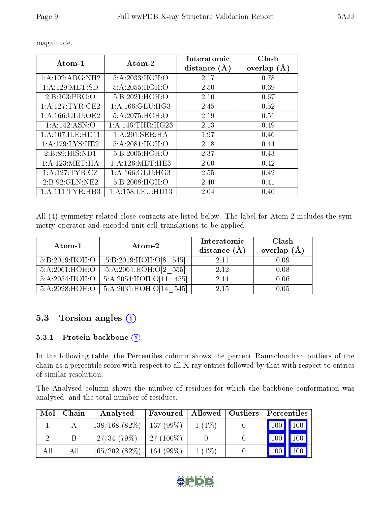| Atom-1              | Atom-2                           | Interatomic<br>distance $(A)$ | Clash<br>overlap<br>(A) |
|---------------------|----------------------------------|-------------------------------|-------------------------|
| 1:A:102:ARG:NH2     | 5:A:2033:HOH:O                   | 2.17                          | 0.78                    |
| 1: A: 129: MET:SD   | 5: A:2055:HOH:O                  | 2.50                          | 0.69                    |
| 2:B:103:PRO:O       | 5:B:2021:HOH:O                   | 2.10                          | 0.67                    |
| 1: A:127: TYR: CE2  | $1: A: 166: GLU: H\overline{G3}$ | 2.45                          | 0.52                    |
| 1: A: 166: GLU: OE2 | 5:A:2075:HOH:O                   | 2.19                          | 0.51                    |
| 1:A:142:ASN:O       | 1:A:146:THR:HG23                 | 2.13                          | 0.49                    |
| 1:A:107:ILE:HD11    | 1:A:201:SER:HA                   | 1.97                          | 0.46                    |
| 1: A: 179: LYS: HE2 | 5: A:2081:HOH:O                  | 2.18                          | 0.44                    |
| 2: B:89: HIS: ND1   | 5:B:2005:HOH:O                   | 2.37                          | 0.43                    |
| 1: A: 123: MET: HA  | 1: A:126: MET:HE3                | 2.00                          | 0.42                    |
| 1:A:127:TYR:CZ      | 1: A: 166: GLU: HG3              | 2.55                          | 0.42                    |
| 2: B: 92: GLN: NE2  | 5:B:2008:HOH:O                   | 2.40                          | 0.41                    |
| 1: A: 111: TYR: HB3 | 1: A: 158: LEU: HD13             | 2.04                          | $0.40\,$                |

magnitude.

All (4) symmetry-related close contacts are listed below. The label for Atom-2 includes the symmetry operator and encoded unit-cell translations to be applied.

| Atom-1         | Atom-2                 | Interatomic<br>distance $(\AA)$ | Clash<br>overlap $(\AA)$ |
|----------------|------------------------|---------------------------------|--------------------------|
| 5:B:2019:HOH:O | 5:B:2019:HOH:O[8 545]  | 2.11                            | 0.09                     |
| 5:A:2061:HOH:O | 5:A:2061:HOH:O[2 555]  | 2.12                            | 0.08                     |
| 5:A:2054:HOH:O | 5:A:2054:HOH:O[11 455] | 2.14                            | 0.06                     |
| 5:A:2028:HOH:O | 5:A:2031:HOH:O[14 545] | 2.15                            | 0.05                     |

## 5.3 Torsion angles (i)

#### 5.3.1 Protein backbone  $(i)$

In the following table, the Percentiles column shows the percent Ramachandran outliers of the chain as a percentile score with respect to all X-ray entries followed by that with respect to entries of similar resolution.

The Analysed column shows the number of residues for which the backbone conformation was analysed, and the total number of residues.

| Mol | Chain | Analysed     | Favoured    | <b>Allowed</b> | Outliers | Percentiles |             |
|-----|-------|--------------|-------------|----------------|----------|-------------|-------------|
|     |       | 138/168(82%) | $137(99\%)$ | $1(1\%)$       |          | $100\,$     | $\vert$ 100 |
|     |       | 27/34(79%)   | $27(100\%)$ |                |          | 100         | 100         |
| All | All   | 165/202(82%) | $164(99\%)$ | $1(1\%)$       |          | 100         |             |

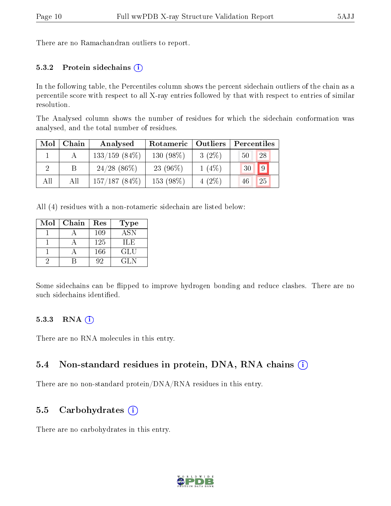There are no Ramachandran outliers to report.

#### 5.3.2 Protein sidechains  $(i)$

In the following table, the Percentiles column shows the percent sidechain outliers of the chain as a percentile score with respect to all X-ray entries followed by that with respect to entries of similar resolution.

The Analysed column shows the number of residues for which the sidechain conformation was analysed, and the total number of residues.

| Mol | Chain | Analysed         | Rotameric   Outliers |          | Percentiles       |
|-----|-------|------------------|----------------------|----------|-------------------|
|     |       | $133/159$ (84\%) | $130(98\%)$          | $3(2\%)$ | 28<br>50          |
|     |       | $24/28$ (86\%)   | $23(96\%)$           | $1(4\%)$ | $9^{\circ}$<br>30 |
| All | All   | $157/187(84\%)$  | 153 (98\%)           | $4(2\%)$ | 25<br>46          |

All (4) residues with a non-rotameric sidechain are listed below:

| Mol | Chain | Res | <b>Type</b> |
|-----|-------|-----|-------------|
|     |       | 109 | <b>ASN</b>  |
|     |       | 125 | ILE         |
|     |       | 166 | GLU         |
|     |       | 92  | GL N        |

Some sidechains can be flipped to improve hydrogen bonding and reduce clashes. There are no such sidechains identified.

#### 5.3.3 RNA (i)

There are no RNA molecules in this entry.

#### 5.4 Non-standard residues in protein, DNA, RNA chains (i)

There are no non-standard protein/DNA/RNA residues in this entry.

#### 5.5 Carbohydrates  $(i)$

There are no carbohydrates in this entry.

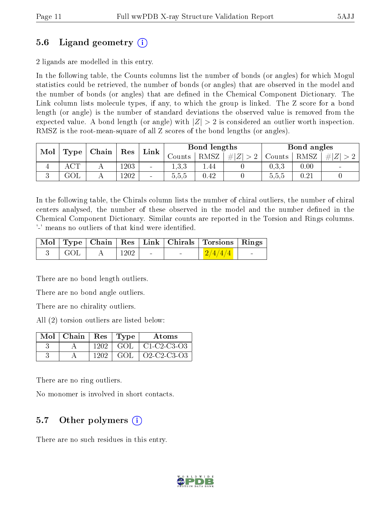## 5.6 Ligand geometry (i)

2 ligands are modelled in this entry.

In the following table, the Counts columns list the number of bonds (or angles) for which Mogul statistics could be retrieved, the number of bonds (or angles) that are observed in the model and the number of bonds (or angles) that are dened in the Chemical Component Dictionary. The Link column lists molecule types, if any, to which the group is linked. The Z score for a bond length (or angle) is the number of standard deviations the observed value is removed from the expected value. A bond length (or angle) with  $|Z| > 2$  is considered an outlier worth inspection. RMSZ is the root-mean-square of all Z scores of the bond lengths (or angles).

| Mol<br><b>Type</b> |                 |  |      |                |          |      |         | $\mid$ Chain         | Res  | Link |  | Bond lengths |  |  | Bond angles |  |
|--------------------|-----------------|--|------|----------------|----------|------|---------|----------------------|------|------|--|--------------|--|--|-------------|--|
|                    |                 |  |      |                | Jounts . | RMSZ | $\# Z $ | $\frac{1}{2}$ Counts | RMSZ | #!   |  |              |  |  |             |  |
|                    | $\cap$ m $\cap$ |  | 1203 | $\blacksquare$ | . വ      | 1.44 |         | 0,3,3                | 0.00 |      |  |              |  |  |             |  |
| $\Omega$           | GOL             |  | 1202 | $\blacksquare$ | 5.5.5    | 0.42 |         | 5,5,5                | 0.21 |      |  |              |  |  |             |  |

In the following table, the Chirals column lists the number of chiral outliers, the number of chiral centers analysed, the number of these observed in the model and the number defined in the Chemical Component Dictionary. Similar counts are reported in the Torsion and Rings columns. '-' means no outliers of that kind were identified.

|                     |                                 |                                                    |                          | Mol   Type   Chain   Res   Link   Chirals   Torsions   Rings |  |
|---------------------|---------------------------------|----------------------------------------------------|--------------------------|--------------------------------------------------------------|--|
| $3 \mid \text{GOL}$ | $\mathbf{A}$ . The $\mathbf{A}$ | $\begin{array}{c c} \hline 1202 & - \ \end{array}$ | <b>Contract Contract</b> | $\frac{2}{4}/\frac{4}{4}$                                    |  |

There are no bond length outliers.

There are no bond angle outliers.

There are no chirality outliers.

All (2) torsion outliers are listed below:

| $Mol$   Chain |       | $Res$ Type | Atoms                |
|---------------|-------|------------|----------------------|
|               | 1202  |            | GOL   C1-C2-C3-O3    |
|               | 1202. | GOL.       | $\sqrt{02-C2-C3-03}$ |

There are no ring outliers.

No monomer is involved in short contacts.

## 5.7 [O](https://www.wwpdb.org/validation/2017/XrayValidationReportHelp#nonstandard_residues_and_ligands)ther polymers  $(i)$

There are no such residues in this entry.

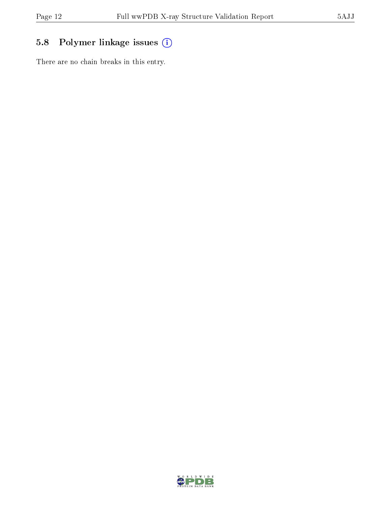## 5.8 Polymer linkage issues (i)

There are no chain breaks in this entry.

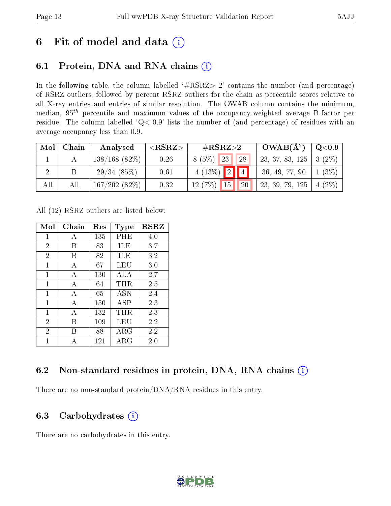## 6 Fit of model and data  $(i)$

## 6.1 Protein, DNA and RNA chains  $(i)$

In the following table, the column labelled  $#RSRZ> 2'$  contains the number (and percentage) of RSRZ outliers, followed by percent RSRZ outliers for the chain as percentile scores relative to all X-ray entries and entries of similar resolution. The OWAB column contains the minimum, median,  $95<sup>th</sup>$  percentile and maximum values of the occupancy-weighted average B-factor per residue. The column labelled ' $Q< 0.9$ ' lists the number of (and percentage) of residues with an average occupancy less than 0.9.

| Mol | Chain | Analysed         | $<$ RSRZ $>$ | $\#\text{RSRZ}\text{>2}$ | $OWAB(A^2)$     | Q <sub>0.9</sub> |
|-----|-------|------------------|--------------|--------------------------|-----------------|------------------|
|     |       | $138/168$ (82\%) | 0.26         | 8(5%)<br>23<br>28        | 23, 37, 83, 125 | $3(2\%)$         |
|     |       | 29/34(85%)       | 0.61         | $4(13\%)$ 2 4            | 36, 49, 77, 90  | $1(3\%)$         |
| All | All   | 167/202(82%)     | 0.32         | $12(7%)$ 15<br>20        | 23, 39, 79, 125 | $4(2\%)$         |

All (12) RSRZ outliers are listed below:

| Mol            | Chain | $\operatorname{Res}% \left( \mathcal{N}\right) \equiv\operatorname{Res}(\mathcal{N}_{0},\mathcal{N}_{0})$ | Type        | <b>RSRZ</b> |
|----------------|-------|-----------------------------------------------------------------------------------------------------------|-------------|-------------|
| $\mathbf{1}$   | A     | 135                                                                                                       | PHE         | 4.0         |
| $\overline{2}$ | В     | 83                                                                                                        | ILE         | 3.7         |
| $\overline{2}$ | В     | 82                                                                                                        | ILE         | 3.2         |
| $\mathbf{1}$   | А     | 67                                                                                                        | LEU         | 3.0         |
| $\mathbf{1}$   | А     | 130                                                                                                       | ALA         | 2.7         |
| 1              | А     | 64                                                                                                        | $\rm THR$   | 2.5         |
| 1              | А     | 65                                                                                                        | <b>ASN</b>  | 2.4         |
| 1              | А     | 150                                                                                                       | ASP         | 2.3         |
| 1              | А     | 132                                                                                                       | THR.        | 2.3         |
| $\overline{2}$ | В     | 109                                                                                                       | LEU         | 2.2         |
| $\overline{2}$ | R     | 88                                                                                                        | ${\rm ARG}$ | 2.2         |
| 1              | А     | 121                                                                                                       | $\rm{ARG}$  | 2.0         |

## 6.2 Non-standard residues in protein, DNA, RNA chains (i)

There are no non-standard protein/DNA/RNA residues in this entry.

## 6.3 Carbohydrates  $(i)$

There are no carbohydrates in this entry.